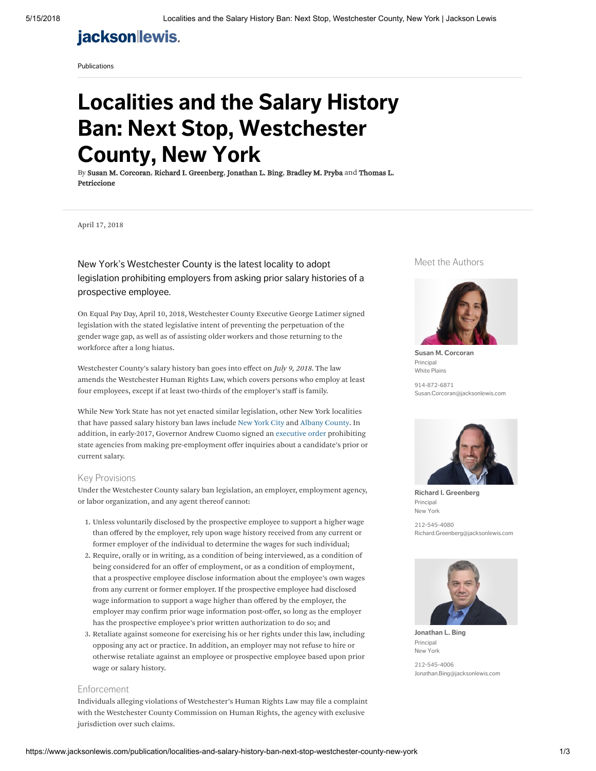# **jackson lewis.**

[Publications](https://www.jacksonlewis.com/publications)

# Localities and the Salary History Ban: Next Stop, Westchester County, New York

By [Susan M. Corcoran,](https://www.jacksonlewis.com/people/susan-m-corcoran) [Richard I. Greenberg,](https://www.jacksonlewis.com/people/thomas-l-petriccione) [Jonathan L. Bing,](https://www.jacksonlewis.com/people/jonathan-l-bing) [Bradley M. Pryba](https://www.jacksonlewis.com/people/bradley-m-pryba) and Thomas L. Petriccione

April 17, 2018

### New York's Westchester County is the latest locality to adopt legislation prohibiting employers from asking prior salary histories of a prospective employee.

On Equal Pay Day, April 10, 2018, Westchester County Executive George Latimer signed legislation with the stated legislative intent of preventing the perpetuation of the gender wage gap, as well as of assisting older workers and those returning to the workforce after a long hiatus.

Westchester County's salary history ban goes into effect on July 9, 2018. The law amends the Westchester Human Rights Law, which covers persons who employ at least four employees, except if at least two-thirds of the employer's staff is family.

While New York State has not yet enacted similar legislation, other New York localities that have passed salary history ban laws include New [York](https://www.jacksonlewis.com/publication/new-york-city-council-approves-legislation-limiting-prospective-employers-ability-obtain-and-use-salary-history) City and Albany [County](https://www.payequityadvisor.com/2017/12/localities-and-the-compensation-history-ban-next-stop-albany-county/). In addition, in early-2017, Governor Andrew Cuomo signed an [executive](https://www.jacksonlewis.com/publication/new-york-toughens-equal-pay-laws-state-contractors-must-disclose-salary-data-state-agencies-cannot-ask-applicants) order prohibiting state agencies from making pre-employment offer inquiries about a candidate's prior or current salary.

### Key Provisions

Under the Westchester County salary ban legislation, an employer, employment agency, or labor organization, and any agent thereof cannot:

- 1. Unless voluntarily disclosed by the prospective employee to support a higher wage than offered by the employer, rely upon wage history received from any current or former employer of the individual to determine the wages for such individual;
- 2. Require, orally or in writing, as a condition of being interviewed, as a condition of being considered for an offer of employment, or as a condition of employment, that a prospective employee disclose information about the employee's own wages from any current or former employer. If the prospective employee had disclosed wage information to support a wage higher than offered by the employer, the employer may confirm prior wage information post-offer, so long as the employer has the prospective employee's prior written authorization to do so; and
- 3. Retaliate against someone for exercising his or her rights under this law, including opposing any act or practice. In addition, an employer may not refuse to hire or otherwise retaliate against an employee or prospective employee based upon prior wage or salary history.

#### Enforcement

Individuals alleging violations of Westchester's Human Rights Law may file a complaint with the Westchester County Commission on Human Rights, the agency with exclusive jurisdiction over such claims.

### Meet the Authors



[Susan M. Corcoran](https://www.jacksonlewis.com/people/susan-m-corcoran) Principal [White](https://www.jacksonlewis.com/office/white-plains) Plains 914-872-6871

[Susan.Corcoran@jacksonlewis.com](mailto:Susan.Corcoran@jacksonlewis.com)



[Richard I. Greenberg](https://www.jacksonlewis.com/people/richard-i-greenberg) Principal New [York](https://www.jacksonlewis.com/office/new-york)

212-545-4080 [Richard.Greenberg@jacksonlewis.com](mailto:Richard.Greenberg@jacksonlewis.com)



[Jonathan L. Bing](https://www.jacksonlewis.com/people/jonathan-l-bing) Principal New [York](https://www.jacksonlewis.com/office/new-york)

212-545-4006 [Jonathan.Bing@jacksonlewis.com](mailto:Jonathan.Bing@jacksonlewis.com)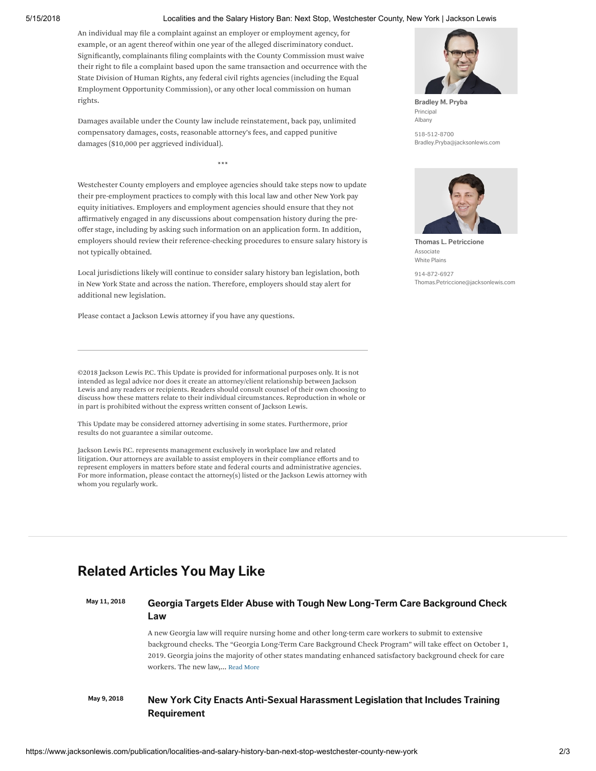#### 5/15/2018 Localities and the Salary History Ban: Next Stop, Westchester County, New York | Jackson Lewis

An individual may file a complaint against an employer or employment agency, for example, or an agent thereof within one year of the alleged discriminatory conduct. Significantly, complainants filing complaints with the County Commission must waive their right to file a complaint based upon the same transaction and occurrence with the State Division of Human Rights, any federal civil rights agencies (including the Equal Employment Opportunity Commission), or any other local commission on human rights.

Damages available under the County law include reinstatement, back pay, unlimited compensatory damages, costs, reasonable attorney's fees, and capped punitive damages (\$10,000 per aggrieved individual).

\*\*\*

Westchester County employers and employee agencies should take steps now to update their pre-employment practices to comply with this local law and other New York pay equity initiatives. Employers and employment agencies should ensure that they not affirmatively engaged in any discussions about compensation history during the preoffer stage, including by asking such information on an application form. In addition, employers should review their reference-checking procedures to ensure salary history is not typically obtained.

Local jurisdictions likely will continue to consider salary history ban legislation, both in New York State and across the nation. Therefore, employers should stay alert for additional new legislation.

Please contact a Jackson Lewis attorney if you have any questions.

©2018 Jackson Lewis P.C. This Update is provided for informational purposes only. It is not intended as legal advice nor does it create an attorney/client relationship between Jackson Lewis and any readers or recipients. Readers should consult counsel of their own choosing to discuss how these matters relate to their individual circumstances. Reproduction in whole or in part is prohibited without the express written consent of Jackson Lewis.

This Update may be considered attorney advertising in some states. Furthermore, prior results do not guarantee a similar outcome.

Jackson Lewis P.C. represents management exclusively in workplace law and related litigation. Our attorneys are available to assist employers in their compliance efforts and to represent employers in matters before state and federal courts and administrative agencies. For more information, please contact the attorney(s) listed or the Jackson Lewis attorney with whom you regularly work.

# Related Articles You May Like

## May 11, 2018 Georgia Targets Elder Abuse with Tough New Long-Term Care [Background](https://www.jacksonlewis.com/publication/georgia-targets-elder-abuse-tough-new-long-term-care-background-check-law) Check Law

A new Georgia law will require nursing home and other long-term care workers to submit to extensive background checks. The "Georgia Long-Term Care Background Check Program" will take effect on October 1, 2019. Georgia joins the majority of other states mandating enhanced satisfactory background check for care workers. The new law,... Read [More](https://www.jacksonlewis.com/publication/georgia-targets-elder-abuse-tough-new-long-term-care-background-check-law)

### May 9, 2018 New York City Enacts Anti-Sexual Harassment Legislation that Includes Training [Requirement](https://www.jacksonlewis.com/publication/new-york-city-enacts-anti-sexual-harassment-legislation-includes-training-requirement)



[Bradley M. Pryba](https://www.jacksonlewis.com/people/bradley-m-pryba) Principal [Albany](https://www.jacksonlewis.com/office/albany) 518-512-8700

[Bradley.Pryba@jacksonlewis.com](mailto:Bradley.Pryba@jacksonlewis.com)



[Thomas L. Petriccione](https://www.jacksonlewis.com/people/thomas-l-petriccione) Associate [White](https://www.jacksonlewis.com/office/white-plains) Plains

914-872-6927 [Thomas.Petriccione@jacksonlewis.com](mailto:Thomas.Petriccione@jacksonlewis.com)